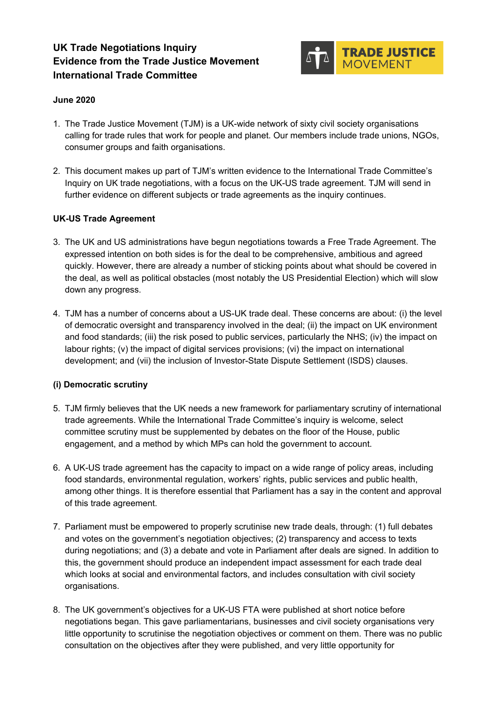# **UK Trade Negotiations Inquiry Evidence from the Trade Justice Movement International Trade Committee**



## **June 2020**

- 1. The Trade Justice Movement (TJM) is a UK-wide network of sixty civil society organisations calling for trade rules that work for people and planet. Our members include trade unions, NGOs, consumer groups and faith organisations.
- 2. This document makes up part of TJM's written evidence to the International Trade Committee's Inquiry on UK trade negotiations, with a focus on the UK-US trade agreement. TJM will send in further evidence on different subjects or trade agreements as the inquiry continues.

### **UK-US Trade Agreement**

- 3. The UK and US administrations have begun negotiations towards a Free Trade Agreement. The expressed intention on both sides is for the deal to be comprehensive, ambitious and agreed quickly. However, there are already a number of sticking points about what should be covered in the deal, as well as political obstacles (most notably the US Presidential Election) which will slow down any progress.
- 4. TJM has a number of concerns about a US-UK trade deal. These concerns are about: (i) the level of democratic oversight and transparency involved in the deal; (ii) the impact on UK environment and food standards; (iii) the risk posed to public services, particularly the NHS; (iv) the impact on labour rights; (v) the impact of digital services provisions; (vi) the impact on international development; and (vii) the inclusion of Investor-State Dispute Settlement (ISDS) clauses.

### **(i) Democratic scrutiny**

- 5. TJM firmly believes that the UK needs a new framework for parliamentary scrutiny of international trade agreements. While the International Trade Committee's inquiry is welcome, select committee scrutiny must be supplemented by debates on the floor of the House, public engagement, and a method by which MPs can hold the government to account.
- 6. A UK-US trade agreement has the capacity to impact on a wide range of policy areas, including food standards, environmental regulation, workers' rights, public services and public health, among other things. It is therefore essential that Parliament has a say in the content and approval of this trade agreement.
- 7. Parliament must be empowered to properly scrutinise new trade deals, through: (1) full debates and votes on the government's negotiation objectives; (2) transparency and access to texts during negotiations; and (3) a debate and vote in Parliament after deals are signed. In addition to this, the government should produce an independent impact assessment for each trade deal which looks at social and environmental factors, and includes consultation with civil society organisations.
- 8. The UK government's objectives for a UK-US FTA were published at short notice before negotiations began. This gave parliamentarians, businesses and civil society organisations very little opportunity to scrutinise the negotiation objectives or comment on them. There was no public consultation on the objectives after they were published, and very little opportunity for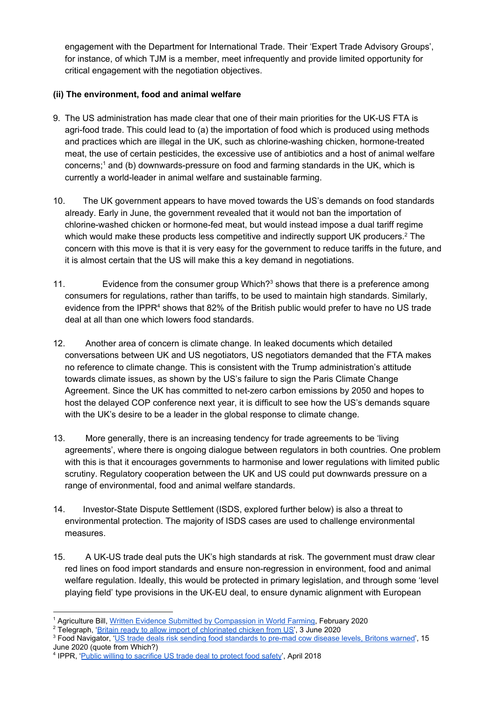engagement with the Department for International Trade. Their 'Expert Trade Advisory Groups', for instance, of which TJM is a member, meet infrequently and provide limited opportunity for critical engagement with the negotiation objectives.

# **(ii) The environment, food and animal welfare**

- 9. The US administration has made clear that one of their main priorities for the UK-US FTA is agri-food trade. This could lead to (a) the importation of food which is produced using methods and practices which are illegal in the UK, such as chlorine-washing chicken, hormone-treated meat, the use of certain pesticides, the excessive use of antibiotics and a host of animal welfare concerns; $<sup>1</sup>$  and (b) downwards-pressure on food and farming standards in the UK, which is</sup> currently a world-leader in animal welfare and sustainable farming.
- 10. The UK government appears to have moved towards the US's demands on food standards already. Early in June, the government revealed that it would not ban the importation of chlorine-washed chicken or hormone-fed meat, but would instead impose a dual tariff regime which would make these products less competitive and indirectly support UK producers.<sup>2</sup> The concern with this move is that it is very easy for the government to reduce tariffs in the future, and it is almost certain that the US will make this a key demand in negotiations.
- 11. Evidence from the consumer group Which? $3$  shows that there is a preference among consumers for regulations, rather than tariffs, to be used to maintain high standards. Similarly, evidence from the IPPR<sup>4</sup> shows that 82% of the British public would prefer to have no US trade deal at all than one which lowers food standards.
- 12. Another area of concern is climate change. In leaked documents which detailed conversations between UK and US negotiators, US negotiators demanded that the FTA makes no reference to climate change. This is consistent with the Trump administration's attitude towards climate issues, as shown by the US's failure to sign the Paris Climate Change Agreement. Since the UK has committed to net-zero carbon emissions by 2050 and hopes to host the delayed COP conference next year, it is difficult to see how the US's demands square with the UK's desire to be a leader in the global response to climate change.
- 13. More generally, there is an increasing tendency for trade agreements to be 'living agreements', where there is ongoing dialogue between regulators in both countries. One problem with this is that it encourages governments to harmonise and lower regulations with limited public scrutiny. Regulatory cooperation between the UK and US could put downwards pressure on a range of environmental, food and animal welfare standards.
- 14. Investor-State Dispute Settlement (ISDS, explored further below) is also a threat to environmental protection. The majority of ISDS cases are used to challenge environmental measures.
- 15. A UK-US trade deal puts the UK's high standards at risk. The government must draw clear red lines on food import standards and ensure non-regression in environment, food and animal welfare regulation. Ideally, this would be protected in primary legislation, and through some 'level playing field' type provisions in the UK-EU deal, to ensure dynamic alignment with European

<sup>&</sup>lt;sup>1</sup> Agriculture Bill, [Written Evidence Submitted by Compassion in World Farming,](https://publications.parliament.uk/pa/cm5801/cmpublic/Agriculture/memo/AB03.htm) February 2020

<sup>&</sup>lt;sup>2</sup> Telegraph, '<u>Britain ready to allow import of chlorinated chicken from US</u>', 3 June 2020

<sup>&</sup>lt;sup>3</sup> Food Navigator, '[US trade deals risk sending food standards to pre-mad cow disease levels, Britons warned'](https://www.foodnavigator.com/Article/2020/06/15/US-trade-deals-risk-sending-food-standards-to-pre-mad-cow-disease-levels-Britons-warned?), 15 June 2020 (quote from Which?)

<sup>&</sup>lt;sup>4</sup> IPPR, '[Public willing to sacrifice US trade deal to protect food safety'](https://www.ippr.org/news-and-media/press-releases/public-willing-to-sacrifice-us-trade-deal-to-protect-food-safety), April 2018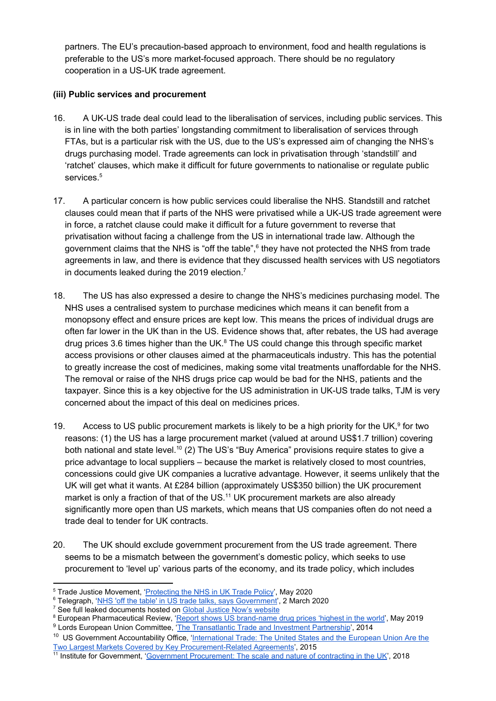partners. The EU's precaution-based approach to environment, food and health regulations is preferable to the US's more market-focused approach. There should be no regulatory cooperation in a US-UK trade agreement.

## **(iii) Public services and procurement**

- 16. A UK-US trade deal could lead to the liberalisation of services, including public services. This is in line with the both parties' longstanding commitment to liberalisation of services through FTAs, but is a particular risk with the US, due to the US's expressed aim of changing the NHS's drugs purchasing model. Trade agreements can lock in privatisation through 'standstill' and 'ratchet' clauses, which make it difficult for future governments to nationalise or regulate public services.<sup>5</sup>
- 17. A particular concern is how public services could liberalise the NHS. Standstill and ratchet clauses could mean that if parts of the NHS were privatised while a UK-US trade agreement were in force, a ratchet clause could make it difficult for a future government to reverse that privatisation without facing a challenge from the US in international trade law. Although the government claims that the NHS is "off the table",<sup>6</sup> they have not protected the NHS from trade agreements in law, and there is evidence that they discussed health services with US negotiators in documents leaked during the 2019 election.<sup>7</sup>
- 18. The US has also expressed a desire to change the NHS's medicines purchasing model. The NHS uses a centralised system to purchase medicines which means it can benefit from a monopsony effect and ensure prices are kept low. This means the prices of individual drugs are often far lower in the UK than in the US. Evidence shows that, after rebates, the US had average drug prices 3.6 times higher than the UK. $<sup>8</sup>$  The US could change this through specific market</sup> access provisions or other clauses aimed at the pharmaceuticals industry. This has the potential to greatly increase the cost of medicines, making some vital treatments unaffordable for the NHS. The removal or raise of the NHS drugs price cap would be bad for the NHS, patients and the taxpayer. Since this is a key objective for the US administration in UK-US trade talks, TJM is very concerned about the impact of this deal on medicines prices.
- 19. Access to US public procurement markets is likely to be a high priority for the UK,  $9$  for two reasons: (1) the US has a large procurement market (valued at around US\$1.7 trillion) covering both national and state level.<sup>10</sup> (2) The US's "Buy America" provisions require states to give a price advantage to local suppliers – because the market is relatively closed to most countries, concessions could give UK companies a lucrative advantage. However, it seems unlikely that the UK will get what it wants. At £284 billion (approximately US\$350 billion) the UK procurement market is only a fraction of that of the US.<sup>11</sup> UK procurement markets are also already significantly more open than US markets, which means that US companies often do not need a trade deal to tender for UK contracts.
- 20. The UK should exclude government procurement from the US trade agreement. There seems to be a mismatch between the government's domestic policy, which seeks to use procurement to 'level up' various parts of the economy, and its trade policy, which includes

<sup>9</sup> Lords European Union Committee, ['The Transatlantic Trade and Investment Partnership](https://publications.parliament.uk/pa/ld201314/ldselect/ldeucom/179/17902.htm)', 2014

<sup>&</sup>lt;sup>5</sup> Trade Justice Movement, '*[Protecting the NHS in UK Trade Policy](https://www.tjm.org.uk/resources/briefings/protecting-the-nhs-in-uk-trade-policy)*', May 2020

<sup>&</sup>lt;sup>6</sup> Telegraph, '[NHS 'off the table' in US trade talks, says Government](https://www.telegraph.co.uk/politics/2020/03/02/government-says-nhs-table-trade-talks-us/)', 2 March 2020

<sup>&</sup>lt;sup>7</sup> See full leaked documents hosted on [Global Justice Now's website](https://www.globaljustice.org.uk/news/2019/nov/27/explosive-leaked-trade-papers-show-nhs-chlorinated-chicken-already-table-us-trade)

<sup>&</sup>lt;sup>8</sup> European Pharmaceutical Review, '[Report shows US brand-name drug prices 'highest in the world](https://www.europeanpharmaceuticalreview.com/news/87383/us-drug-prices-highest-world/)', May 2019

<sup>&</sup>lt;sup>10</sup> US Government Accountability Office, ['International Trade: The United States and the European Union Are the](https://www.gao.gov/products/GAO-15-717) [Two Largest Markets Covered by Key Procurement-Related Agreements'](https://www.gao.gov/products/GAO-15-717), 2015

<sup>&</sup>lt;sup>11</sup> Institute for Government, '[Government Procurement: The scale and nature of contracting in the UK](https://www.instituteforgovernment.org.uk/publications/government-procurement)', 2018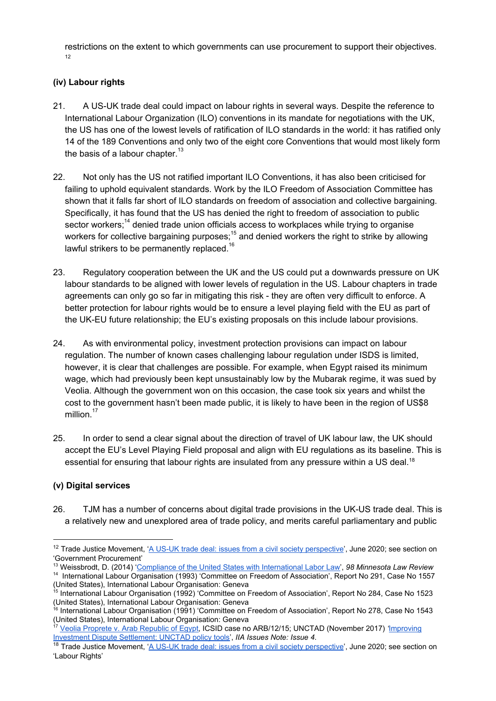restrictions on the extent to which governments can use procurement to support their objectives. 12

## **(iv) Labour rights**

- 21. A US-UK trade deal could impact on labour rights in several ways. Despite the reference to International Labour Organization (ILO) conventions in its mandate for negotiations with the UK, the US has one of the lowest levels of ratification of ILO standards in the world: it has ratified only 14 of the 189 Conventions and only two of the eight core Conventions that would most likely form the basis of a labour chapter. $13$
- 22. Not only has the US not ratified important ILO Conventions, it has also been criticised for failing to uphold equivalent standards. Work by the ILO Freedom of Association Committee has shown that it falls far short of ILO standards on freedom of association and collective bargaining. Specifically, it has found that the US has denied the right to freedom of association to public sector workers;  $14$  denied trade union officials access to workplaces while trying to organise workers for collective bargaining purposes;  $15$  and denied workers the right to strike by allowing lawful strikers to be permanently replaced.<sup>16</sup>
- 23. Regulatory cooperation between the UK and the US could put a downwards pressure on UK labour standards to be aligned with lower levels of regulation in the US. Labour chapters in trade agreements can only go so far in mitigating this risk - they are often very difficult to enforce. A better protection for labour rights would be to ensure a level playing field with the EU as part of the UK-EU future relationship; the EU's existing proposals on this include labour provisions.
- 24. As with environmental policy, investment protection provisions can impact on labour regulation. The number of known cases challenging labour regulation under ISDS is limited, however, it is clear that challenges are possible. For example, when Egypt raised its minimum wage, which had previously been kept unsustainably low by the Mubarak regime, it was sued by Veolia. Although the government won on this occasion, the case took six years and whilst the cost to the government hasn't been made public, it is likely to have been in the region of US\$8 million.<sup>17</sup>
- 25. In order to send a clear signal about the direction of travel of UK labour law, the UK should accept the EU's Level Playing Field proposal and align with EU regulations as its baseline. This is essential for ensuring that labour rights are insulated from any pressure within a US deal.<sup>18</sup>

### **(v) Digital services**

26. TJM has a number of concerns about digital trade provisions in the UK-US trade deal. This is a relatively new and unexplored area of trade policy, and merits careful parliamentary and public

<sup>&</sup>lt;sup>12</sup> Trade Justice Movement, '[A US-UK trade deal: issues from a civil society perspective](https://www.tjm.org.uk/resources/briefings/a-us-uk-trade-deal-issues-from-a-civil-society-perspective)', June 2020; see section on 'Government Procurement'

<sup>13</sup> Weissbrodt, D. (2014) ['Compliance of the United States with International Labor Law'](https://scholarship.law.umn.edu/cgi/viewcontent.cgi?article=1372&context=faculty_articles), *98 Minnesota Law Review*

<sup>14</sup> International Labour Organisation (1993) 'Committee on Freedom of Association', Report No 291, Case No 1557 (United States), International Labour Organisation: Geneva<br><sup>15</sup> International Labour Organisation (1992) 'Committee on Freedom of Association', Report No 284, Case No 1523

<sup>(</sup>United States), International Labour Organisation: Geneva<br><sup>16</sup> International Labour Organisation (1991) 'Committee on Freedom of Association', Report No 278, Case No 1543

<sup>(</sup>United States), International Labour Organisation: Geneva

<sup>17</sup> [Veolia Proprete v. Arab Republic of Egypt,](https://www.italaw.com/cases/2101%20Accessed%2030/03/20) ICSID case no ARB/12/15; UNCTAD (November 2017) *'*[Improving](https://uncitral.un.org/sites/uncitral.un.org/files/media-documents/uncitral/en/iia_issues_november_2017.pdf) [Investment Dispute Settlement: UNCTAD policy tools](https://uncitral.un.org/sites/uncitral.un.org/files/media-documents/uncitral/en/iia_issues_november_2017.pdf)', *IIA Issues Note: Issue 4*.

<sup>&</sup>lt;sup>18</sup> Trade Justice Movement, '[A US-UK trade deal: issues from a civil society perspective](https://www.tjm.org.uk/resources/briefings/a-us-uk-trade-deal-issues-from-a-civil-society-perspective)', June 2020; see section on 'Labour Rights'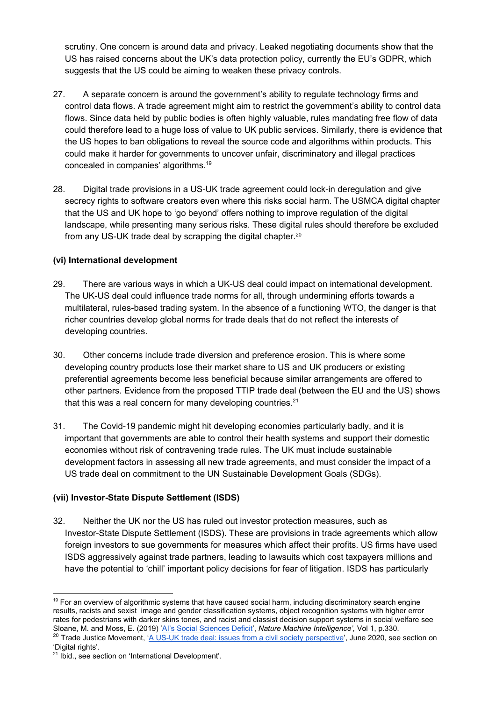scrutiny. One concern is around data and privacy. Leaked negotiating documents show that the US has raised concerns about the UK's data protection policy, currently the EU's GDPR, which suggests that the US could be aiming to weaken these privacy controls.

- 27. A separate concern is around the government's ability to regulate technology firms and control data flows. A trade agreement might aim to restrict the government's ability to control data flows. Since data held by public bodies is often highly valuable, rules mandating free flow of data could therefore lead to a huge loss of value to UK public services. Similarly, there is evidence that the US hopes to ban obligations to reveal the source code and algorithms within products. This could make it harder for governments to uncover unfair, discriminatory and illegal practices concealed in companies' algorithms.<sup>19</sup>
- 28. Digital trade provisions in a US-UK trade agreement could lock-in deregulation and give secrecy rights to software creators even where this risks social harm. The USMCA digital chapter that the US and UK hope to 'go beyond' offers nothing to improve regulation of the digital landscape, while presenting many serious risks. These digital rules should therefore be excluded from any US-UK trade deal by scrapping the digital chapter.<sup>20</sup>

## **(vi) International development**

- 29. There are various ways in which a UK-US deal could impact on international development. The UK-US deal could influence trade norms for all, through undermining efforts towards a multilateral, rules-based trading system. In the absence of a functioning WTO, the danger is that richer countries develop global norms for trade deals that do not reflect the interests of developing countries.
- 30. Other concerns include trade diversion and preference erosion. This is where some developing country products lose their market share to US and UK producers or existing preferential agreements become less beneficial because similar arrangements are offered to other partners. Evidence from the proposed TTIP trade deal (between the EU and the US) shows that this was a real concern for many developing countries. $21$
- 31. The Covid-19 pandemic might hit developing economies particularly badly, and it is important that governments are able to control their health systems and support their domestic economies without risk of contravening trade rules. The UK must include sustainable development factors in assessing all new trade agreements, and must consider the impact of a US trade deal on commitment to the UN Sustainable Development Goals (SDGs).

## **(vii) Investor-State Dispute Settlement (ISDS)**

32. Neither the UK nor the US has ruled out investor protection measures, such as Investor-State Dispute Settlement (ISDS). These are provisions in trade agreements which allow foreign investors to sue governments for measures which affect their profits. US firms have used ISDS aggressively against trade partners, leading to lawsuits which cost taxpayers millions and have the potential to 'chill' important policy decisions for fear of litigation. ISDS has particularly

<sup>&</sup>lt;sup>19</sup> For an overview of algorithmic systems that have caused social harm, including discriminatory search engine results, racists and sexist image and gender classification systems, object recognition systems with higher error rates for pedestrians with darker skins tones, and racist and classist decision support systems in social welfare see Sloane, M. and Moss, E. (2019) '[AI's Social Sciences Deficit'](https://www.nature.com/articles/s42256-019-0084-6), *Nature Machine Intelligence',* Vol 1, p.330. <sup>20</sup> Trade Justice Movement, '[A US-UK trade deal: issues from a civil society perspective](https://www.tjm.org.uk/resources/briefings/a-us-uk-trade-deal-issues-from-a-civil-society-perspective)', June 2020, see section on

<sup>&#</sup>x27;Digital rights'.

<sup>&</sup>lt;sup>21</sup> Ibid., see section on 'International Development'.